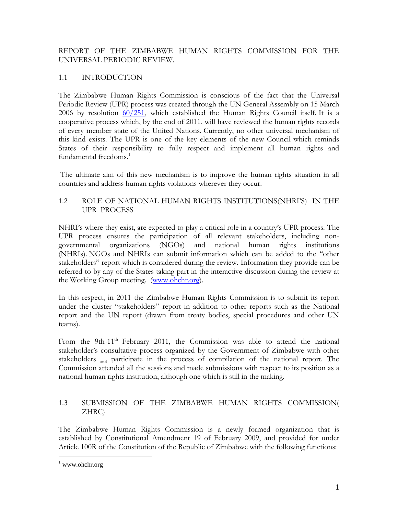## REPORT OF THE ZIMBABWE HUMAN RIGHTS COMMISSION FOR THE UNIVERSAL PERIODIC REVIEW.

## 1.1 INTRODUCTION

The Zimbabwe Human Rights Commission is conscious of the fact that the Universal Periodic Review (UPR) process was created through the UN General Assembly on 15 March 2006 by resolution  $60/251$ , which established the Human Rights Council itself. It is a cooperative process which, by the end of 2011, will have reviewed the human rights records of every member state of the United Nations. Currently, no other universal mechanism of this kind exists. The UPR is one of the key elements of the new Council which reminds States of their responsibility to fully respect and implement all human rights and fundamental freedoms.<sup>1</sup>

The ultimate aim of this new mechanism is to improve the human rights situation in all countries and address human rights violations wherever they occur.

## 1.2 ROLE OF NATIONAL HUMAN RIGHTS INSTITUTIONS(NHRI'S) IN THE UPR PROCESS

NHRI's where they exist, are expected to play a critical role in a country's UPR process. The UPR process ensures the participation of all relevant stakeholders, including nongovernmental organizations (NGOs) and national human rights institutions (NHRIs). NGOs and NHRIs can submit information which can be added to the "other stakeholders" report which is considered during the review. Information they provide can be referred to by any of the States taking part in the interactive discussion during the review at the Working Group meeting. [\(www.ohchr.org\)](http://www.ohchr.org/).

In this respect, in 2011 the Zimbabwe Human Rights Commission is to submit its report under the cluster "stakeholders" report in addition to other reports such as the National report and the UN report (drawn from treaty bodies, special procedures and other UN teams).

From the 9th-11<sup>th</sup> February 2011, the Commission was able to attend the national stakeholder's consultative process organized by the Government of Zimbabwe with other stakeholders and participate in the process of compilation of the national report. The Commission attended all the sessions and made submissions with respect to its position as a national human rights institution, although one which is still in the making.

## 1.3 SUBMISSION OF THE ZIMBABWE HUMAN RIGHTS COMMISSION( ZHRC)

The Zimbabwe Human Rights Commission is a newly formed organization that is established by Constitutional Amendment 19 of February 2009, and provided for under Article 100R of the Constitution of the Republic of Zimbabwe with the following functions:

 $\overline{a}$ 

 $1$  www.ohchr.org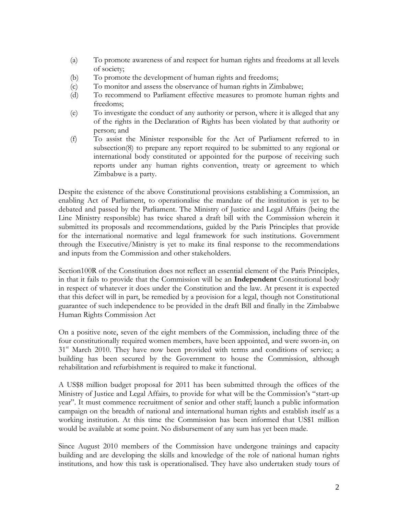- (a) To promote awareness of and respect for human rights and freedoms at all levels of society;
- (b) To promote the development of human rights and freedoms;
- (c) To monitor and assess the observance of human rights in Zimbabwe;
- (d) To recommend to Parliament effective measures to promote human rights and freedoms;
- (e) To investigate the conduct of any authority or person, where it is alleged that any of the rights in the Declaration of Rights has been violated by that authority or person; and
- (f) To assist the Minister responsible for the Act of Parliament referred to in subsection(8) to prepare any report required to be submitted to any regional or international body constituted or appointed for the purpose of receiving such reports under any human rights convention, treaty or agreement to which Zimbabwe is a party.

Despite the existence of the above Constitutional provisions establishing a Commission, an enabling Act of Parliament, to operationalise the mandate of the institution is yet to be debated and passed by the Parliament. The Ministry of Justice and Legal Affairs (being the Line Ministry responsible) has twice shared a draft bill with the Commission wherein it submitted its proposals and recommendations, guided by the Paris Principles that provide for the international normative and legal framework for such institutions. Government through the Executive/Ministry is yet to make its final response to the recommendations and inputs from the Commission and other stakeholders.

Section100R of the Constitution does not reflect an essential element of the Paris Principles, in that it fails to provide that the Commission will be an **Independent** Constitutional body in respect of whatever it does under the Constitution and the law. At present it is expected that this defect will in part, be remedied by a provision for a legal, though not Constitutional guarantee of such independence to be provided in the draft Bill and finally in the Zimbabwe Human Rights Commission Act

On a positive note, seven of the eight members of the Commission, including three of the four constitutionally required women members, have been appointed, and were sworn-in, on 31<sup>st</sup> March 2010. They have now been provided with terms and conditions of service; a building has been secured by the Government to house the Commission, although rehabilitation and refurbishment is required to make it functional.

A US\$8 million budget proposal for 2011 has been submitted through the offices of the Ministry of Justice and Legal Affairs, to provide for what will be the Commission's "start-up year". It must commence recruitment of senior and other staff; launch a public information campaign on the breadth of national and international human rights and establish itself as a working institution. At this time the Commission has been informed that US\$1 million would be available at some point. No disbursement of any sum has yet been made.

Since August 2010 members of the Commission have undergone trainings and capacity building and are developing the skills and knowledge of the role of national human rights institutions, and how this task is operationalised. They have also undertaken study tours of